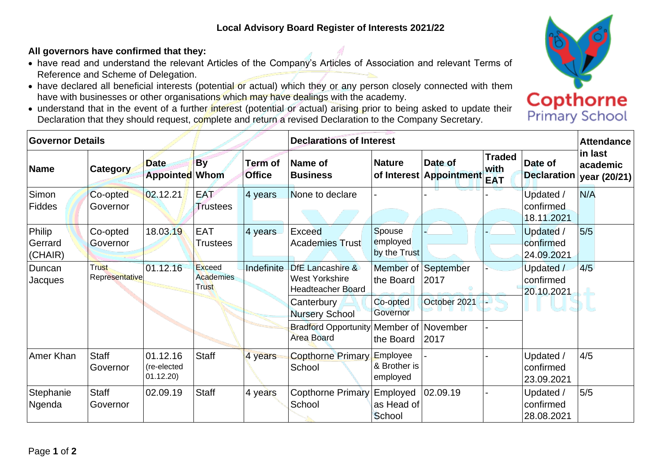## **All governors have confirmed that they:**

- have read and understand the relevant Articles of the Company's Articles of Association and relevant Terms of Reference and Scheme of Delegation.
- have declared all beneficial interests (potential or actual) which they or any person closely connected with them have with businesses or other organisations which may have dealings with the academy.
- understand that in the event of a further interest (potential or actual) arising prior to being asked to update their Declaration that they should request, complete and return a revised Declaration to the Company Secretary.

| <b>Governor Details</b>      |                                |                                     |                                            |                          | <b>Declarations of Interest</b>                                |                                      |                                    |                                     |                                      | <b>Attendance</b>                    |
|------------------------------|--------------------------------|-------------------------------------|--------------------------------------------|--------------------------|----------------------------------------------------------------|--------------------------------------|------------------------------------|-------------------------------------|--------------------------------------|--------------------------------------|
| <b>Name</b>                  | <b>Category</b>                | <b>Date</b><br>Appointed Whom       | <b>By</b>                                  | Term of<br><b>Office</b> | Name of<br><b>Business</b>                                     | <b>Nature</b>                        | Date of<br>of Interest Appointment | <b>Traded</b><br>with<br><b>EAT</b> | Date of<br><b>Declaration</b>        | in last<br>academic<br> year (20/21) |
| Simon<br><b>Fiddes</b>       | Co-opted<br>Governor           | 02.12.21                            | <b>EAT</b><br><b>Trustees</b>              | 4 years                  | None to declare                                                |                                      |                                    |                                     | Updated /<br>confirmed<br>18.11.2021 | N/A                                  |
| Philip<br>Gerrard<br>(CHAIR) | Co-opted<br>Governor           | 18.03.19                            | <b>EAT</b><br><b>Trustees</b>              | 4 years                  | Exceed<br><b>Academies Trust</b>                               | Spouse<br>employed<br>by the Trust   |                                    |                                     | Updated /<br>confirmed<br>24.09.2021 | 5/5                                  |
| Duncan<br>Jacques            | <b>Trust</b><br>Representative | 01.12.16                            | Exceed<br><b>Academies</b><br><b>Trust</b> | Indefinite               | DfE Lancashire &<br>West Yorkshire<br><b>Headteacher Board</b> | the Board                            | Member of September<br>2017        |                                     | Updated /<br>confirmed<br>20.10.2021 | 4/5                                  |
|                              |                                |                                     |                                            |                          | Canterbury<br><b>Nursery School</b>                            | Co-opted<br>Governor                 | October 2021                       |                                     |                                      |                                      |
|                              |                                |                                     |                                            |                          | Bradford Opportunity Member of November<br>Area Board          | the Board                            | 2017                               |                                     |                                      |                                      |
| Amer Khan                    | <b>Staff</b><br>Governor       | 01.12.16<br>(re-elected<br>01.12.20 | <b>Staff</b>                               | 4 years                  | <b>Copthorne Primary</b><br>School                             | Employee<br>& Brother is<br>employed |                                    |                                     | Updated /<br>confirmed<br>23.09.2021 | 4/5                                  |
| Stephanie<br>Ngenda          | <b>Staff</b><br>Governor       | 02.09.19                            | <b>Staff</b>                               | 4 years                  | <b>Copthorne Primary</b><br>School                             | Employed<br>as Head of<br>School     | 02.09.19                           |                                     | Updated /<br>confirmed<br>28.08.2021 | 5/5                                  |